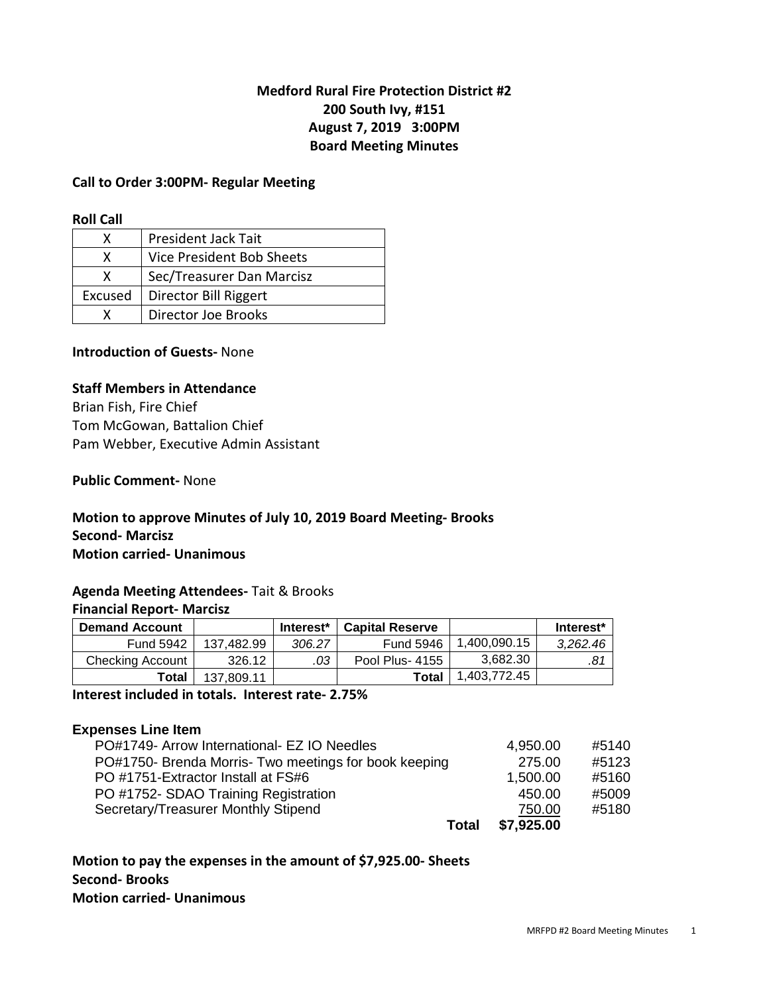# **Medford Rural Fire Protection District #2 200 South Ivy, #151 August 7, 2019 3:00PM Board Meeting Minutes**

#### **Call to Order 3:00PM- Regular Meeting**

#### **Roll Call**

| x       | President Jack Tait       |
|---------|---------------------------|
| x       | Vice President Bob Sheets |
| x       | Sec/Treasurer Dan Marcisz |
| Excused | Director Bill Riggert     |
|         | Director Joe Brooks       |

### **Introduction of Guests-** None

#### **Staff Members in Attendance**

Brian Fish, Fire Chief Tom McGowan, Battalion Chief Pam Webber, Executive Admin Assistant

#### **Public Comment-** None

#### **Motion to approve Minutes of July 10, 2019 Board Meeting- Brooks Second- Marcisz Motion carried- Unanimous**

### **Agenda Meeting Attendees-** Tait & Brooks

## **Financial Report- Marcisz**

| <b>Demand Account</b> |            | Interest* | <b>Capital Reserve</b> |              | Interest* |
|-----------------------|------------|-----------|------------------------|--------------|-----------|
| <b>Fund 5942</b>      | 137.482.99 | 306.27    | <b>Fund 5946</b>       | 1.400.090.15 | 3.262.46  |
| Checking Account      | 326.12     | .03       | Pool Plus-4155         | 3.682.30     | .81       |
| Total                 | 137.809.11 |           | Total                  | 1,403,772.45 |           |

**Interest included in totals. Interest rate- 2.75%** 

#### **Expenses Line Item**

| Total                                                 | \$7,925.00 |       |
|-------------------------------------------------------|------------|-------|
| Secretary/Treasurer Monthly Stipend                   | 750.00     | #5180 |
| PO #1752- SDAO Training Registration                  | 450.00     | #5009 |
| PO #1751-Extractor Install at FS#6                    | 1,500.00   | #5160 |
| PO#1750- Brenda Morris- Two meetings for book keeping | 275.00     | #5123 |
| PO#1749- Arrow International- EZ IO Needles           | 4,950.00   | #5140 |

### **Motion to pay the expenses in the amount of \$7,925.00- Sheets Second- Brooks Motion carried- Unanimous**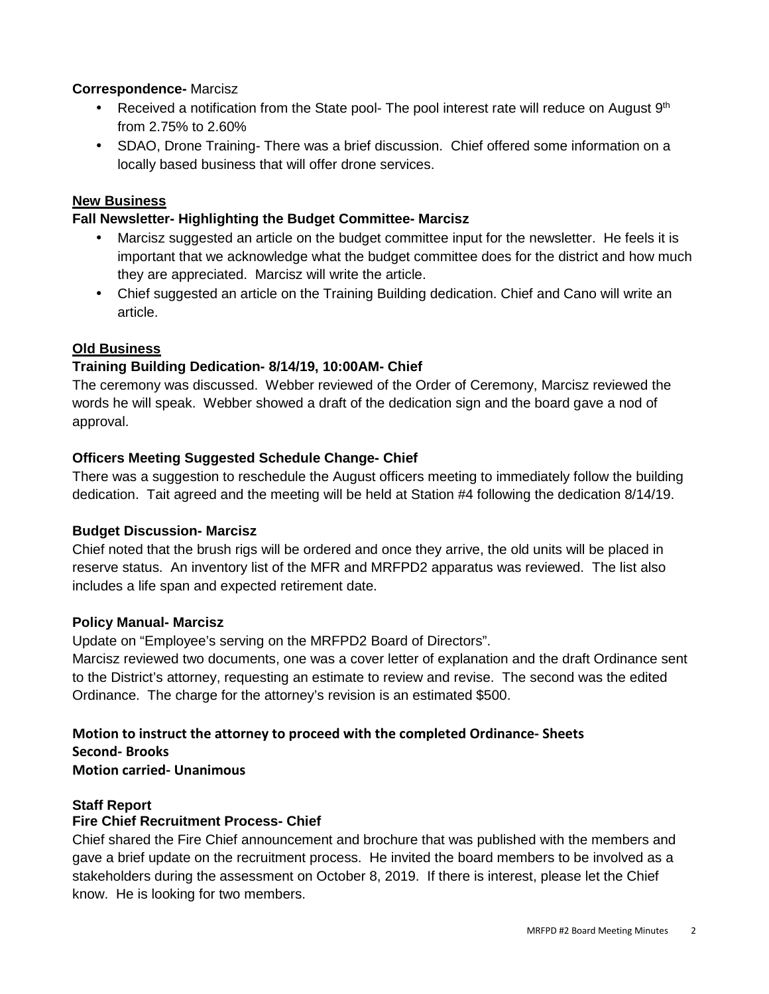### **Correspondence-** Marcisz

- Received a notification from the State pool- The pool interest rate will reduce on August  $9<sup>th</sup>$ from 2.75% to 2.60%
- SDAO, Drone Training- There was a brief discussion. Chief offered some information on a locally based business that will offer drone services.

## **New Business**

## **Fall Newsletter- Highlighting the Budget Committee- Marcisz**

- Marcisz suggested an article on the budget committee input for the newsletter. He feels it is important that we acknowledge what the budget committee does for the district and how much they are appreciated. Marcisz will write the article.
- Chief suggested an article on the Training Building dedication. Chief and Cano will write an article.

## **Old Business**

## **Training Building Dedication- 8/14/19, 10:00AM- Chief**

The ceremony was discussed. Webber reviewed of the Order of Ceremony, Marcisz reviewed the words he will speak. Webber showed a draft of the dedication sign and the board gave a nod of approval.

## **Officers Meeting Suggested Schedule Change- Chief**

There was a suggestion to reschedule the August officers meeting to immediately follow the building dedication. Tait agreed and the meeting will be held at Station #4 following the dedication 8/14/19.

### **Budget Discussion- Marcisz**

Chief noted that the brush rigs will be ordered and once they arrive, the old units will be placed in reserve status. An inventory list of the MFR and MRFPD2 apparatus was reviewed. The list also includes a life span and expected retirement date.

### **Policy Manual- Marcisz**

Update on "Employee's serving on the MRFPD2 Board of Directors".

Marcisz reviewed two documents, one was a cover letter of explanation and the draft Ordinance sent to the District's attorney, requesting an estimate to review and revise. The second was the edited Ordinance. The charge for the attorney's revision is an estimated \$500.

# **Motion to instruct the attorney to proceed with the completed Ordinance- Sheets**

**Second- Brooks**

**Motion carried- Unanimous** 

### **Staff Report**

# **Fire Chief Recruitment Process- Chief**

Chief shared the Fire Chief announcement and brochure that was published with the members and gave a brief update on the recruitment process. He invited the board members to be involved as a stakeholders during the assessment on October 8, 2019. If there is interest, please let the Chief know. He is looking for two members.